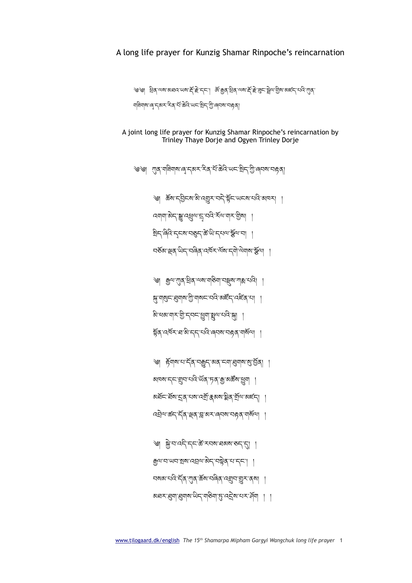༄། སྐྱེ་བ་འདི་དང་ཚེ་རབས་ཐམས་ཅད་དུ། ། རྒྱལ་བ་ཡབ་སྲས་འབྲལ་མེད་བསྟེན་པ་དང་། ། བསམ་པའི་དོན་ཀུན་ཆོས་བཞིན་འགྲུབ་གྱུར་ནས། ། अव्याञ्च्या सुयाषा से दायडेवा सुन्दर् अन्य राज्या । ।

্ঞা র্ট্নবাম'থ'র্ন্ক ব্রুদ'ম্বন' ব্রাধ্যান্ত্র' ব্রাব্রা ঝ¤ম'ন্ন'য়াৃন'থনি'ৰ্ਘক্'দৃক্'ক্লু'ঝৰ্স্কম'শ্ৰুণ <u>য়ইন'ইম'ন্ড্ৰ'নম'ন্মী'ক্ৰমম'ষ্ট্ৰৰ'ৰ্মীঅ'মৰ্লন। ।</u> འབྲེལ་ཚད་དོན་ལྡན་བླ་མར་ཞབས་བརྟན་གསོལ། །

স্ন'শগুন'ধ্ৰুশম'শ্ৰী'শব্দ'ব্ব'ৰাইঁন'বেইঁৰ'ঝা । ঌ৾'ধঝ'নাম'গ্ৰী'ম্বাম্'খ্ৰুনা'খ্ৰুম'থাই'মা ষ্ট্ৰৰ্`নেৰ্ম্মি`ন্ন'ৰ্ম' নৰ্ম্মা ৰ্মৰ্মা ৰাজিমা ।

বর্তুঞ্জান্থেরা অবিপ্রান্ট বর্তমা বিশিষ্ট্যা ।

্ঞা ক্সুন্ম্যান্ শ্ৰিন নেম'নাৰ্ছনা নন্ত্ৰী যা

འགག་མེད་སྒྱུ་འཕྲུལ་དྲྭ ་བའི་རོལ་གར་གྱིས། །

ষ্টান'ৰিনি'ন্নৰ মাৰ্ছন'ৰ্জ'থা'ন্নৰ অস্থিত ৰা

্ড্ড। (गुद्र'गबिगब'लु'द्बर'रिंद"सॅं'ळेदि'ਘद'श्चेद'ग्रु'ल्ञ्चब'त्रहत्र।

༄། ཆོས་དབྱིངས་མི་འགྱུར་བདེ་སྟོང་ཡངས་པའི་མཁར། །

্ড্ড। ধ্রির অমান্তার অমার্ষী দ্রী বিশ্বের জুরি বিশিষ্ট একারী বিশ্বের জুবি বিশিষ্ট বিশিষ্ট করা ঘৰিম্মান ৰে'ন্ক্স্ম' ইৰ'ৰ্ম'ক্টবি'ঋন'স্ট্ৰান্' জীৱে ৰেন্স' বা

A joint long life prayer for Kunzig Shamar Rinpoche's reincarnation by Trinley Thaye Dorje and Ogyen Trinley Dorje

## A long life prayer for Kunzig Shamar Rinpoche's reincarnation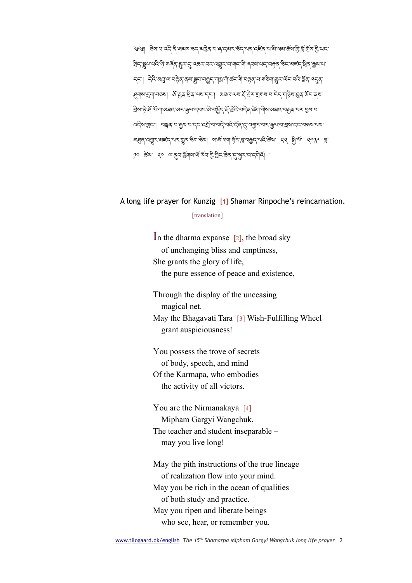্ড্ড। ক্তম'থ'ন্দ্র'ন্ত্র'ঘ্রমম'ত্দ্ব'মাট্রুর'থ'ন্সেক্সেম্'র্উন্'থের'ন্দ্রির'থ'ন্সি'র্ম্সেশ্মাইম'স্ট্র'র্মুম'স্ট্র'ড্রাম'স্ট্র'ড্রাম'স্ট্র'ড্রাম্'স্ ইন্'ষ্ণুন'ঘবি'ৰ্ড্'নাৰ্জ্ব'ম্ভুস্'ন্'বেক্স'ঘস্'ন্ম্ৰুস'ব'নান্'ন্মি'ৰ্বেম'ঘন্'বহ্নৰ 'উন'মৰ্লন্'ইৰ'ক্ৰুম'ঘ' ॸङ्ग मेते अञ्चल्याह्नेद दबाञ्च्या सङ्ग्रह्ण आक्षर आरम्भेदा सञ्चल पार्कवा छन् पार्ट्य अञ्चल पहुंच स् ্প্ৰণ্ণ'মুখ'নতৰা জি.ম্ৰিৰ,ব্ৰুৱাৰেনেনি স্বাৰ্থ কৰে। স্বাৰ্থ কৰি কৰি কৰি কৰি কৰি কৰি কৰি <u>ই</u>ম'দे<sup>:</sup> ਮੁੱ ਘੱ'ग'अध्यः अर्`कुः 'द्यद'क्षे'चङ्गेंद्र' स्ट्रे स्थि'चद्री क्ष्ण'यो्ष'अध्यः 'चक्रुत्' पर'ञ्जूष' प ব্দিমাত্ৰা । বন্নুৰ বাক্লুমাৰাদ্দাৰ্য্য বিদ্ৰালীৰ অনুসৰি বিদ্যালীৰ বিদ্যালয় বিদ্যালয়ৰ বিদ্যালয় अञ्चल पश्चिम अह्ह्न समाञ्जम कुला अञ्चल कर सार्य अर्था अर्थ अन्य बाली बाले ༡༠ ཚེས་ ༢༠ ལ་ནུབ་ཕྱོགས་ཡོ་རོབ་ཀྱི་གླིང་ཆེན་དུ་སྦྱར་བ་དགེའོ། །

## A long life prayer for Kunzig [1] Shamar Rinpoche's reincarnation.

## [translation]

In the dharma expanse  $\lceil 2 \rceil$ , the broad sky of unchanging bliss and emptiness, She grants the glory of life, the pure essence of peace and existence,

Through the display of the unceasing magical net. May the Bhagavati Tara [3] Wish-Fulfilling Wheel grant auspiciousness!

You possess the trove of secrets of body, speech, and mind Of the Karmapa, who embodies the activity of all victors.

You are the Nirmanakaya [4] Mipham Gargyi Wangchuk, The teacher and student inseparable – may you live long!

May the pith instructions of the true lineage of realization flow into your mind. May you be rich in the ocean of qualities of both study and practice. May you ripen and liberate beings who see, hear, or remember you.